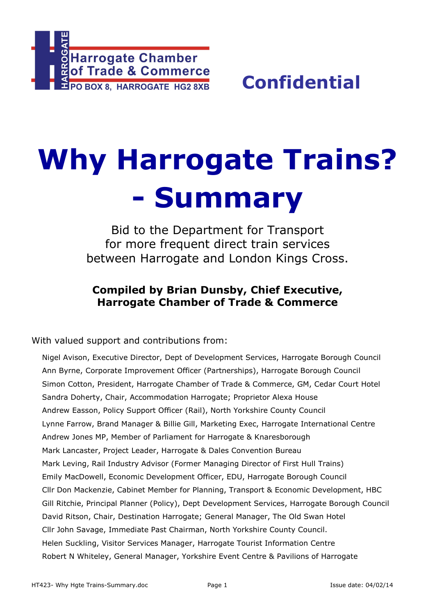

# **Why Harrogate Trains? - Summary**

Bid to the Department for Transport for more frequent direct train services between Harrogate and London Kings Cross.

### **Compiled by Brian Dunsby, Chief Executive, Harrogate Chamber of Trade & Commerce**

With valued support and contributions from:

Nigel Avison, Executive Director, Dept of Development Services, Harrogate Borough Council Ann Byrne, Corporate Improvement Officer (Partnerships), Harrogate Borough Council Simon Cotton, President, Harrogate Chamber of Trade & Commerce, GM, Cedar Court Hotel Sandra Doherty, Chair, Accommodation Harrogate; Proprietor Alexa House Andrew Easson, Policy Support Officer (Rail), North Yorkshire County Council Lynne Farrow, Brand Manager & Billie Gill, Marketing Exec, Harrogate International Centre Andrew Jones MP, Member of Parliament for Harrogate & Knaresborough Mark Lancaster, Project Leader, Harrogate & Dales Convention Bureau Mark Leving, Rail Industry Advisor (Former Managing Director of First Hull Trains) Emily MacDowell, Economic Development Officer, EDU, Harrogate Borough Council Cllr Don Mackenzie, Cabinet Member for Planning, Transport & Economic Development, HBC Gill Ritchie, Principal Planner (Policy), Dept Development Services, Harrogate Borough Council David Ritson, Chair, Destination Harrogate; General Manager, The Old Swan Hotel Cllr John Savage, Immediate Past Chairman, North Yorkshire County Council. Helen Suckling, Visitor Services Manager, Harrogate Tourist Information Centre Robert N Whiteley, General Manager, Yorkshire Event Centre & Pavilions of Harrogate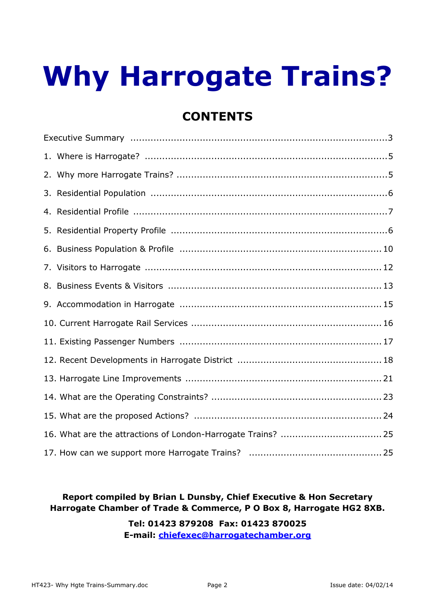## **Why Harrogate Trains?**

## **CONTENTS**

#### **Report compiled by Brian L Dunsby, Chief Executive & Hon Secretary Harrogate Chamber of Trade & Commerce, P O Box 8, Harrogate HG2 8XB.**

#### **Tel: 01423 879208 Fax: 01423 870025 E-mail: chiefexec@harrogatechamber.org**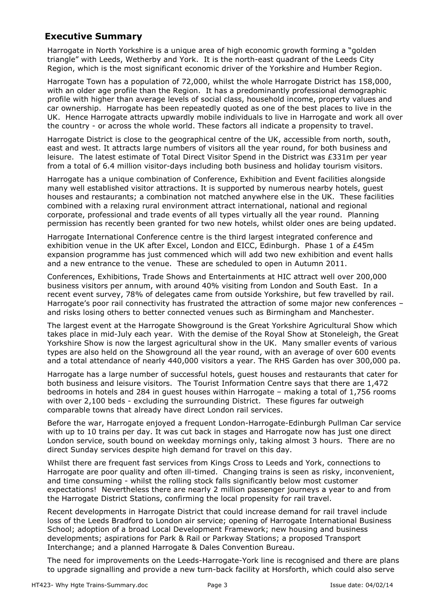#### **Executive Summary**

Harrogate in North Yorkshire is a unique area of high economic growth forming a "golden triangle" with Leeds, Wetherby and York. It is the north-east quadrant of the Leeds City Region, which is the most significant economic driver of the Yorkshire and Humber Region.

Harrogate Town has a population of 72,000, whilst the whole Harrogate District has 158,000, with an older age profile than the Region. It has a predominantly professional demographic profile with higher than average levels of social class, household income, property values and car ownership. Harrogate has been repeatedly quoted as one of the best places to live in the UK. Hence Harrogate attracts upwardly mobile individuals to live in Harrogate and work all over the country - or across the whole world. These factors all indicate a propensity to travel.

Harrogate District is close to the geographical centre of the UK, accessible from north, south, east and west. It attracts large numbers of visitors all the year round, for both business and leisure. The latest estimate of Total Direct Visitor Spend in the District was £331m per year from a total of 6.4 million visitor-days including both business and holiday tourism visitors.

Harrogate has a unique combination of Conference, Exhibition and Event facilities alongside many well established visitor attractions. It is supported by numerous nearby hotels, guest houses and restaurants; a combination not matched anywhere else in the UK. These facilities combined with a relaxing rural environment attract international, national and regional corporate, professional and trade events of all types virtually all the year round. Planning permission has recently been granted for two new hotels, whilst older ones are being updated.

Harrogate International Conference centre is the third largest integrated conference and exhibition venue in the UK after Excel, London and EICC, Edinburgh. Phase 1 of a £45m expansion programme has just commenced which will add two new exhibition and event halls and a new entrance to the venue. These are scheduled to open in Autumn 2011.

Conferences, Exhibitions, Trade Shows and Entertainments at HIC attract well over 200,000 business visitors per annum, with around 40% visiting from London and South East. In a recent event survey, 78% of delegates came from outside Yorkshire, but few travelled by rail. Harrogate's poor rail connectivity has frustrated the attraction of some major new conferences – and risks losing others to better connected venues such as Birmingham and Manchester.

The largest event at the Harrogate Showground is the Great Yorkshire Agricultural Show which takes place in mid-July each year. With the demise of the Royal Show at Stoneleigh, the Great Yorkshire Show is now the largest agricultural show in the UK. Many smaller events of various types are also held on the Showground all the year round, with an average of over 600 events and a total attendance of nearly 440,000 visitors a year. The RHS Garden has over 300,000 pa.

Harrogate has a large number of successful hotels, guest houses and restaurants that cater for both business and leisure visitors. The Tourist Information Centre says that there are 1,472 bedrooms in hotels and 284 in guest houses within Harrogate – making a total of 1,756 rooms with over 2,100 beds - excluding the surrounding District. These figures far outweigh comparable towns that already have direct London rail services.

Before the war, Harrogate enjoyed a frequent London-Harrogate-Edinburgh Pullman Car service with up to 10 trains per day. It was cut back in stages and Harrogate now has just one direct London service, south bound on weekday mornings only, taking almost 3 hours. There are no direct Sunday services despite high demand for travel on this day.

Whilst there are frequent fast services from Kings Cross to Leeds and York, connections to Harrogate are poor quality and often ill-timed. Changing trains is seen as risky, inconvenient, and time consuming - whilst the rolling stock falls significantly below most customer expectations! Nevertheless there are nearly 2 million passenger journeys a year to and from the Harrogate District Stations, confirming the local propensity for rail travel.

Recent developments in Harrogate District that could increase demand for rail travel include loss of the Leeds Bradford to London air service; opening of Harrogate International Business School; adoption of a broad Local Development Framework; new housing and business developments; aspirations for Park & Rail or Parkway Stations; a proposed Transport Interchange; and a planned Harrogate & Dales Convention Bureau.

The need for improvements on the Leeds-Harrogate-York line is recognised and there are plans to upgrade signalling and provide a new turn-back facility at Horsforth, which could also serve